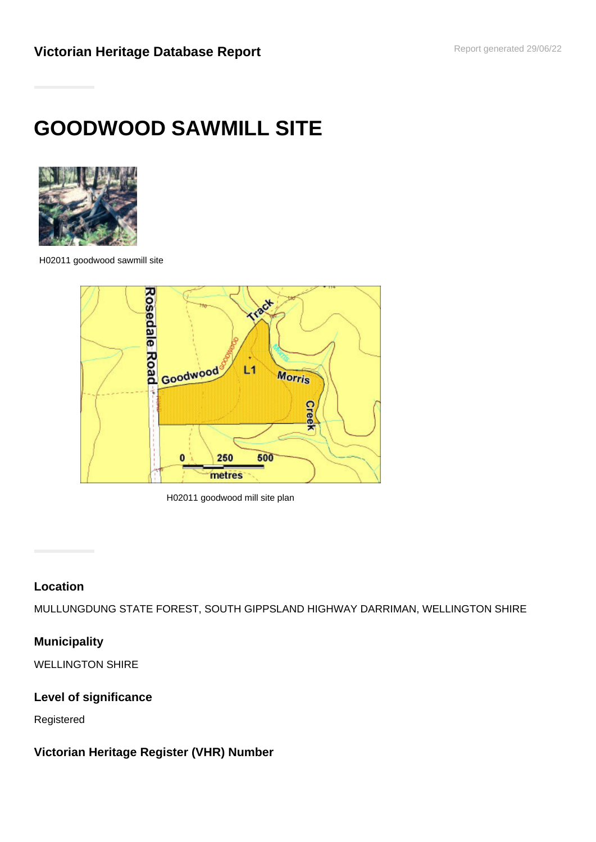# **GOODWOOD SAWMILL SITE**



H02011 goodwood sawmill site



H02011 goodwood mill site plan

#### **Location**

MULLUNGDUNG STATE FOREST, SOUTH GIPPSLAND HIGHWAY DARRIMAN, WELLINGTON SHIRE

## **Municipality**

WELLINGTON SHIRE

#### **Level of significance**

Registered

## **Victorian Heritage Register (VHR) Number**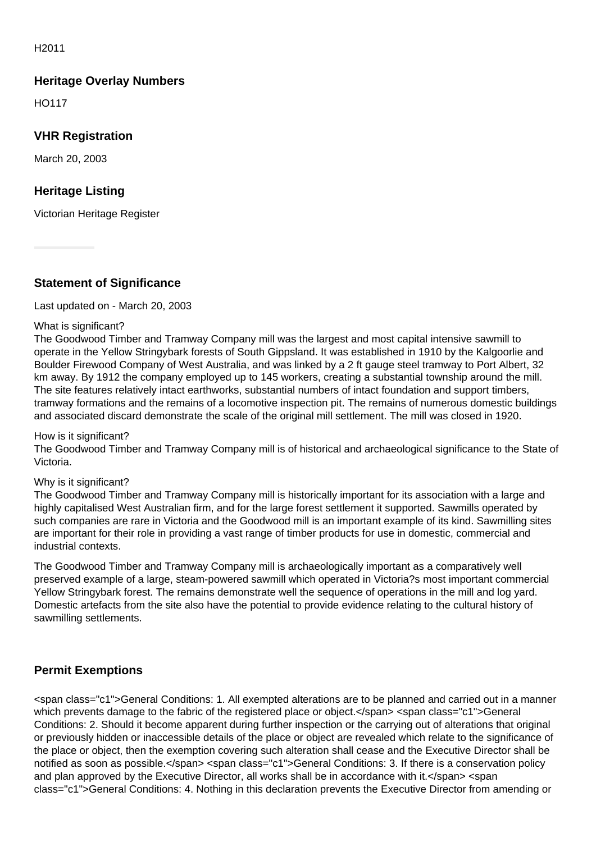H2011

#### **Heritage Overlay Numbers**

HO117

#### **VHR Registration**

March 20, 2003

#### **Heritage Listing**

Victorian Heritage Register

**Statement of Significance**

Last updated on - March 20, 2003

#### What is significant?

The Goodwood Timber and Tramway Company mill was the largest and most capital intensive sawmill to operate in the Yellow Stringybark forests of South Gippsland. It was established in 1910 by the Kalgoorlie and Boulder Firewood Company of West Australia, and was linked by a 2 ft gauge steel tramway to Port Albert, 32 km away. By 1912 the company employed up to 145 workers, creating a substantial township around the mill. The site features relatively intact earthworks, substantial numbers of intact foundation and support timbers, tramway formations and the remains of a locomotive inspection pit. The remains of numerous domestic buildings and associated discard demonstrate the scale of the original mill settlement. The mill was closed in 1920.

#### How is it significant?

The Goodwood Timber and Tramway Company mill is of historical and archaeological significance to the State of Victoria.

#### Why is it significant?

The Goodwood Timber and Tramway Company mill is historically important for its association with a large and highly capitalised West Australian firm, and for the large forest settlement it supported. Sawmills operated by such companies are rare in Victoria and the Goodwood mill is an important example of its kind. Sawmilling sites are important for their role in providing a vast range of timber products for use in domestic, commercial and industrial contexts.

The Goodwood Timber and Tramway Company mill is archaeologically important as a comparatively well preserved example of a large, steam-powered sawmill which operated in Victoria?s most important commercial Yellow Stringybark forest. The remains demonstrate well the sequence of operations in the mill and log yard. Domestic artefacts from the site also have the potential to provide evidence relating to the cultural history of sawmilling settlements.

## **Permit Exemptions**

<span class="c1">General Conditions: 1. All exempted alterations are to be planned and carried out in a manner which prevents damage to the fabric of the registered place or object.</span> <span class="c1">General Conditions: 2. Should it become apparent during further inspection or the carrying out of alterations that original or previously hidden or inaccessible details of the place or object are revealed which relate to the significance of the place or object, then the exemption covering such alteration shall cease and the Executive Director shall be notified as soon as possible.</span> <span class="c1">General Conditions: 3. If there is a conservation policy and plan approved by the Executive Director, all works shall be in accordance with it.</span> <span class="c1">General Conditions: 4. Nothing in this declaration prevents the Executive Director from amending or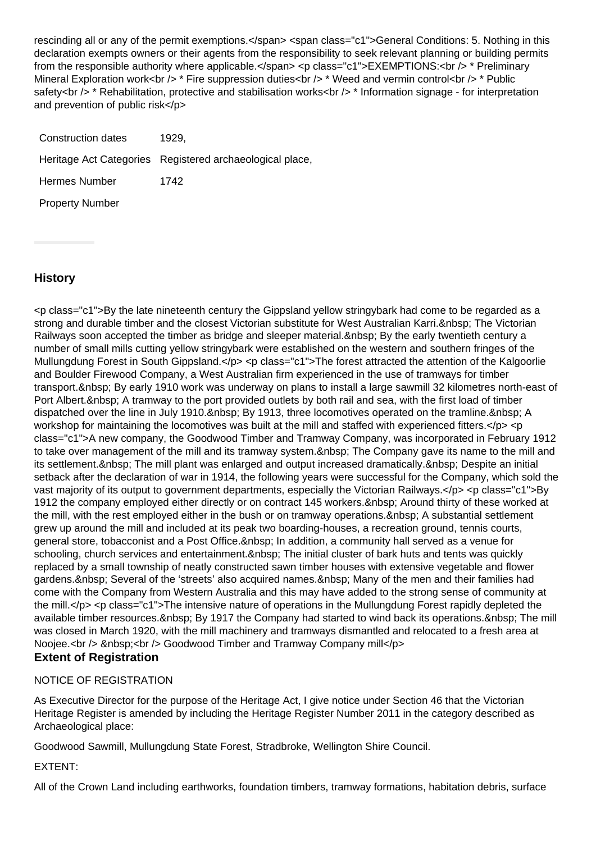rescinding all or any of the permit exemptions.</span> <span class="c1">General Conditions: 5. Nothing in this declaration exempts owners or their agents from the responsibility to seek relevant planning or building permits from the responsible authority where applicable.</span> <p class="c1">EXEMPTIONS:<br />>\* Preliminary Mineral Exploration work<br />>  $\star$  Fire suppression duties<br />>  $\star$  Weed and vermin control<br />>  $\star$  Public safety<br /> \* Rehabilitation, protective and stabilisation works<br /> \* Information signage - for interpretation and prevention of public risk</p>

| Construction dates     | 1929.                                                    |
|------------------------|----------------------------------------------------------|
|                        | Heritage Act Categories Registered archaeological place, |
| <b>Hermes Number</b>   | 1742                                                     |
| <b>Property Number</b> |                                                          |

#### **History**

<p class="c1">By the late nineteenth century the Gippsland yellow stringybark had come to be regarded as a strong and durable timber and the closest Victorian substitute for West Australian Karri. &nbsp: The Victorian Railways soon accepted the timber as bridge and sleeper material. & nbsp: By the early twentieth century a number of small mills cutting yellow stringybark were established on the western and southern fringes of the Mullungdung Forest in South Gippsland.</p> <p class="c1">The forest attracted the attention of the Kalgoorlie and Boulder Firewood Company, a West Australian firm experienced in the use of tramways for timber transport. &nbsp: By early 1910 work was underway on plans to install a large sawmill 32 kilometres north-east of Port Albert. & nbsp: A tramway to the port provided outlets by both rail and sea, with the first load of timber dispatched over the line in July 1910. & nbsp: By 1913, three locomotives operated on the tramline. & nbsp: A workshop for maintaining the locomotives was built at the mill and staffed with experienced fitters.</p> <p class="c1">A new company, the Goodwood Timber and Tramway Company, was incorporated in February 1912 to take over management of the mill and its tramway system.&nbsp: The Company gave its name to the mill and its settlement. The mill plant was enlarged and output increased dramatically. Despite an initial setback after the declaration of war in 1914, the following years were successful for the Company, which sold the vast majority of its output to government departments, especially the Victorian Railways.</p> <p class="c1">By 1912 the company employed either directly or on contract 145 workers. Around thirty of these worked at the mill, with the rest employed either in the bush or on tramway operations. & nbsp; A substantial settlement grew up around the mill and included at its peak two boarding-houses, a recreation ground, tennis courts, general store, tobacconist and a Post Office. & nbsp; In addition, a community hall served as a venue for schooling, church services and entertainment. & nbsp; The initial cluster of bark huts and tents was quickly replaced by a small township of neatly constructed sawn timber houses with extensive vegetable and flower gardens. & nbsp: Several of the 'streets' also acquired names. & nbsp: Many of the men and their families had come with the Company from Western Australia and this may have added to the strong sense of community at the mill.</p> <p class="c1">The intensive nature of operations in the Mullungdung Forest rapidly depleted the available timber resources. By 1917 the Company had started to wind back its operations. The mill was closed in March 1920, with the mill machinery and tramways dismantled and relocated to a fresh area at Noojee.<br />
lets & Mosp;<br />
lets Goodwood Timber and Tramway Company mill</p>

## **Extent of Registration** NOTICE OF REGISTRATION

As Executive Director for the purpose of the Heritage Act, I give notice under Section 46 that the Victorian Heritage Register is amended by including the Heritage Register Number 2011 in the category described as Archaeological place:

Goodwood Sawmill, Mullungdung State Forest, Stradbroke, Wellington Shire Council.

EXTENT:

All of the Crown Land including earthworks, foundation timbers, tramway formations, habitation debris, surface